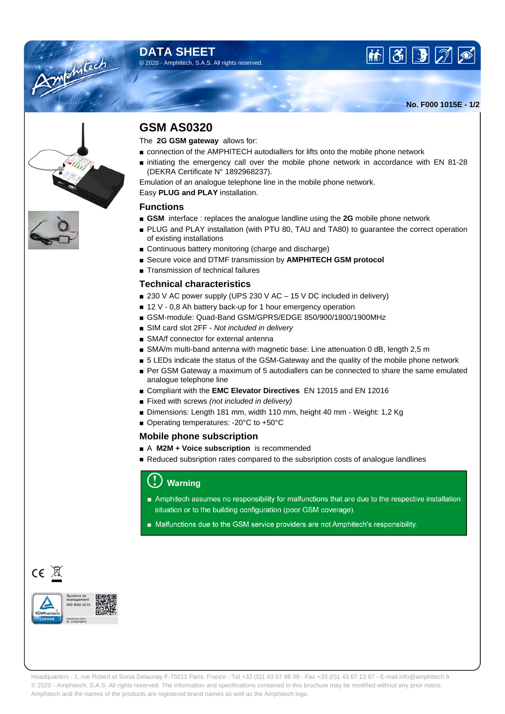## **DATA SHEET** © 2020 - Amphitech, S.A.S. All rights reserved.



**No. F000 1015E - 1/2**



Amenican

## **GSM AS0320**

The **2G GSM gateway** allows for:

- connection of the AMPHITECH autodiallers for lifts onto the mobile phone network
- initiating the emergency call over the mobile phone network in accordance with EN 81-28 (DEKRA Certificate N° 1892968237).

Emulation of an analogue telephone line in the mobile phone network.

Easy **PLUG and PLAY** installation.

#### **Functions**

- **GSM** interface : replaces the analogue landline using the 2G mobile phone network
- PLUG and PLAY installation (with PTU 80, TAU and TA80) to quarantee the correct operation of existing installations
- Continuous battery monitoring (charge and discharge)
- Secure voice and DTMF transmission by **AMPHITECH GSM protocol**
- Transmission of technical failures

### **Technical characteristics**

- 230 V AC power supply (UPS 230 V AC 15 V DC included in delivery)
- 12 V 0,8 Ah battery back-up for 1 hour emergency operation
- GSM-module: Quad-Band GSM/GPRS/EDGE 850/900/1800/1900MHz
- SIM card slot 2FF Not included in delivery
- SMA/f connector for external antenna
- SMA/m multi-band antenna with magnetic base: Line attenuation 0 dB, length 2,5 m
- 5 LEDs indicate the status of the GSM-Gateway and the quality of the mobile phone network
- Per GSM Gateway a maximum of 5 autodiallers can be connected to share the same emulated analogue telephone line
- Compliant with the **EMC Elevator Directives** EN 12015 and EN 12016
- Fixed with screws (not included in delivery)
- Dimensions: Length 181 mm, width 110 mm, height 40 mm Weight: 1,2 Kg
- Operating temperatures: -20°C to +50°C

#### **Mobile phone subscription**

- A **M2M + Voice subscription** is recommended
- Reduced subsription rates compared to the subsription costs of analogue landlines

## **Warning**

- Amphitech assumes no responsibility for malfunctions that are due to the respective installation situation or to the building configuration (poor GSM coverage).
- Malfunctions due to the GSM service providers are not Amphitech's responsibility.



 $CE \times$